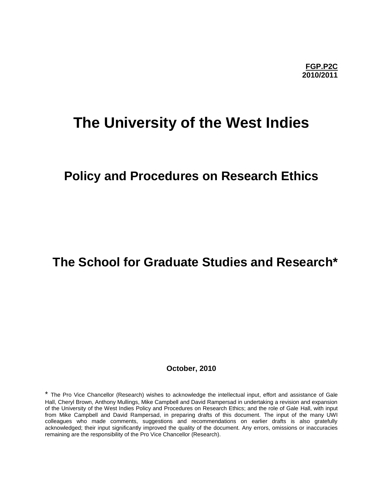# **The University of the West Indies**

# **Policy and Procedures on Research Ethics**

# **The School for Graduate Studies and Research\***

**October, 2010**

\* The Pro Vice Chancellor (Research) wishes to acknowledge the intellectual input, effort and assistance of Gale Hall, Cheryl Brown, Anthony Mullings, Mike Campbell and David Rampersad in undertaking a revision and expansion of the University of the West Indies Policy and Procedures on Research Ethics; and the role of Gale Hall, with input from Mike Campbell and David Rampersad, in preparing drafts of this document. The input of the many UWI colleagues who made comments, suggestions and recommendations on earlier drafts is also gratefully acknowledged; their input significantly improved the quality of the document. Any errors, omissions or inaccuracies remaining are the responsibility of the Pro Vice Chancellor (Research).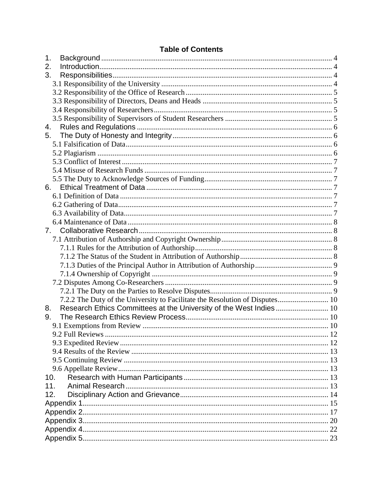|  | <b>Table of Contents</b> |
|--|--------------------------|
|--|--------------------------|

| Table of Contents                                                            |  |
|------------------------------------------------------------------------------|--|
| 1.                                                                           |  |
| 2.                                                                           |  |
| 3.                                                                           |  |
|                                                                              |  |
|                                                                              |  |
|                                                                              |  |
|                                                                              |  |
|                                                                              |  |
|                                                                              |  |
| 5.                                                                           |  |
|                                                                              |  |
|                                                                              |  |
|                                                                              |  |
|                                                                              |  |
|                                                                              |  |
| 6.                                                                           |  |
|                                                                              |  |
|                                                                              |  |
|                                                                              |  |
|                                                                              |  |
| 7.                                                                           |  |
|                                                                              |  |
|                                                                              |  |
|                                                                              |  |
|                                                                              |  |
|                                                                              |  |
|                                                                              |  |
|                                                                              |  |
| 7.2.2 The Duty of the University to Facilitate the Resolution of Disputes 10 |  |
| Research Ethics Committees at the University of the West Indies 10<br>8.     |  |
| 9.                                                                           |  |
|                                                                              |  |
|                                                                              |  |
|                                                                              |  |
|                                                                              |  |
|                                                                              |  |
|                                                                              |  |
| 10.                                                                          |  |
| 11 <sub>1</sub>                                                              |  |
| 12.                                                                          |  |
|                                                                              |  |
|                                                                              |  |
|                                                                              |  |
|                                                                              |  |
|                                                                              |  |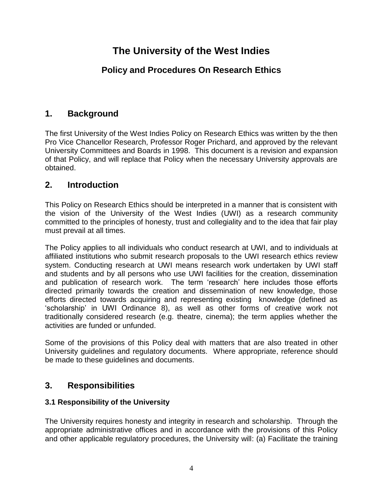# **The University of the West Indies**

# **Policy and Procedures On Research Ethics**

# <span id="page-3-0"></span>**1. Background**

The first University of the West Indies Policy on Research Ethics was written by the then Pro Vice Chancellor Research, Professor Roger Prichard, and approved by the relevant University Committees and Boards in 1998. This document is a revision and expansion of that Policy, and will replace that Policy when the necessary University approvals are obtained.

# <span id="page-3-1"></span>**2. Introduction**

This Policy on Research Ethics should be interpreted in a manner that is consistent with the vision of the University of the West Indies (UWI) as a research community committed to the principles of honesty, trust and collegiality and to the idea that fair play must prevail at all times.

The Policy applies to all individuals who conduct research at UWI, and to individuals at affiliated institutions who submit research proposals to the UWI research ethics review system. Conducting research at UWI means research work undertaken by UWI staff and students and by all persons who use UWI facilities for the creation, dissemination and publication of research work. The term 'research' here includes those efforts directed primarily towards the creation and dissemination of new knowledge, those efforts directed towards acquiring and representing existing knowledge (defined as 'scholarship' in UWI Ordinance 8), as well as other forms of creative work not traditionally considered research (e.g. theatre, cinema); the term applies whether the activities are funded or unfunded.

Some of the provisions of this Policy deal with matters that are also treated in other University guidelines and regulatory documents. Where appropriate, reference should be made to these guidelines and documents.

# <span id="page-3-2"></span>**3. Responsibilities**

## <span id="page-3-3"></span>**3.1 Responsibility of the University**

The University requires honesty and integrity in research and scholarship. Through the appropriate administrative offices and in accordance with the provisions of this Policy and other applicable regulatory procedures, the University will: (a) Facilitate the training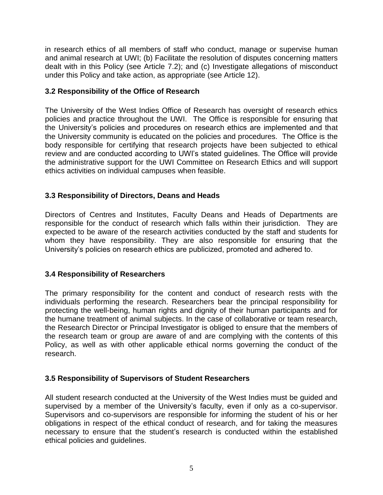in research ethics of all members of staff who conduct, manage or supervise human and animal research at UWI; (b) Facilitate the resolution of disputes concerning matters dealt with in this Policy (see Article 7.2); and (c) Investigate allegations of misconduct under this Policy and take action, as appropriate (see Article 12).

### <span id="page-4-0"></span>**3.2 Responsibility of the Office of Research**

The University of the West Indies Office of Research has oversight of research ethics policies and practice throughout the UWI. The Office is responsible for ensuring that the University's policies and procedures on research ethics are implemented and that the University community is educated on the policies and procedures. The Office is the body responsible for certifying that research projects have been subjected to ethical review and are conducted according to UWI's stated guidelines. The Office will provide the administrative support for the UWI Committee on Research Ethics and will support ethics activities on individual campuses when feasible.

### <span id="page-4-1"></span>**3.3 Responsibility of Directors, Deans and Heads**

Directors of Centres and Institutes, Faculty Deans and Heads of Departments are responsible for the conduct of research which falls within their jurisdiction. They are expected to be aware of the research activities conducted by the staff and students for whom they have responsibility. They are also responsible for ensuring that the University's policies on research ethics are publicized, promoted and adhered to.

### <span id="page-4-2"></span>**3.4 Responsibility of Researchers**

The primary responsibility for the content and conduct of research rests with the individuals performing the research. Researchers bear the principal responsibility for protecting the well-being, human rights and dignity of their human participants and for the humane treatment of animal subjects. In the case of collaborative or team research, the Research Director or Principal Investigator is obliged to ensure that the members of the research team or group are aware of and are complying with the contents of this Policy, as well as with other applicable ethical norms governing the conduct of the research.

### <span id="page-4-3"></span>**3.5 Responsibility of Supervisors of Student Researchers**

All student research conducted at the University of the West Indies must be guided and supervised by a member of the University's faculty, even if only as a co-supervisor. Supervisors and co-supervisors are responsible for informing the student of his or her obligations in respect of the ethical conduct of research, and for taking the measures necessary to ensure that the student's research is conducted within the established ethical policies and guidelines.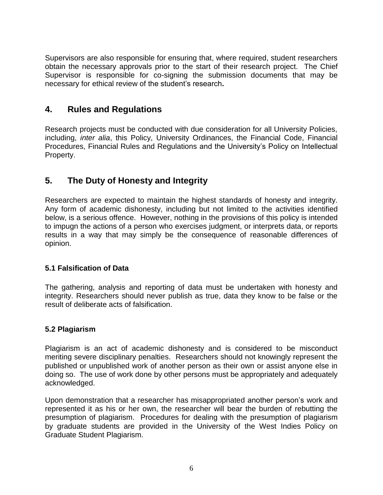Supervisors are also responsible for ensuring that, where required, student researchers obtain the necessary approvals prior to the start of their research project. The Chief Supervisor is responsible for co-signing the submission documents that may be necessary for ethical review of the student's research**.**

## <span id="page-5-0"></span>**4. Rules and Regulations**

Research projects must be conducted with due consideration for all University Policies, including, *inter alia*, this Policy, University Ordinances, the Financial Code, Financial Procedures, Financial Rules and Regulations and the University's Policy on Intellectual Property.

# <span id="page-5-1"></span>**5. The Duty of Honesty and Integrity**

Researchers are expected to maintain the highest standards of honesty and integrity. Any form of academic dishonesty, including but not limited to the activities identified below, is a serious offence. However, nothing in the provisions of this policy is intended to impugn the actions of a person who exercises judgment, or interprets data, or reports results in a way that may simply be the consequence of reasonable differences of opinion.

### <span id="page-5-2"></span>**5.1 Falsification of Data**

The gathering, analysis and reporting of data must be undertaken with honesty and integrity. Researchers should never publish as true, data they know to be false or the result of deliberate acts of falsification.

### <span id="page-5-3"></span>**5.2 Plagiarism**

Plagiarism is an act of academic dishonesty and is considered to be misconduct meriting severe disciplinary penalties. Researchers should not knowingly represent the published or unpublished work of another person as their own or assist anyone else in doing so. The use of work done by other persons must be appropriately and adequately acknowledged.

Upon demonstration that a researcher has misappropriated another person's work and represented it as his or her own, the researcher will bear the burden of rebutting the presumption of plagiarism. Procedures for dealing with the presumption of plagiarism by graduate students are provided in the University of the West Indies Policy on Graduate Student Plagiarism.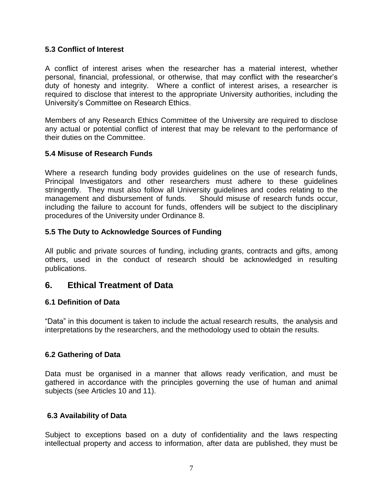### <span id="page-6-0"></span>**5.3 Conflict of Interest**

A conflict of interest arises when the researcher has a material interest, whether personal, financial, professional, or otherwise, that may conflict with the researcher's duty of honesty and integrity. Where a conflict of interest arises, a researcher is required to disclose that interest to the appropriate University authorities, including the University's Committee on Research Ethics.

Members of any Research Ethics Committee of the University are required to disclose any actual or potential conflict of interest that may be relevant to the performance of their duties on the Committee.

### <span id="page-6-1"></span>**5.4 Misuse of Research Funds**

Where a research funding body provides guidelines on the use of research funds, Principal Investigators and other researchers must adhere to these guidelines stringently. They must also follow all University guidelines and codes relating to the management and disbursement of funds. Should misuse of research funds occur, including the failure to account for funds, offenders will be subject to the disciplinary procedures of the University under Ordinance 8.

### <span id="page-6-2"></span>**5.5 The Duty to Acknowledge Sources of Funding**

All public and private sources of funding, including grants, contracts and gifts, among others, used in the conduct of research should be acknowledged in resulting publications.

## <span id="page-6-3"></span>**6. Ethical Treatment of Data**

### <span id="page-6-4"></span>**6.1 Definition of Data**

"Data" in this document is taken to include the actual research results, the analysis and interpretations by the researchers, and the methodology used to obtain the results.

### <span id="page-6-5"></span>**6.2 Gathering of Data**

Data must be organised in a manner that allows ready verification, and must be gathered in accordance with the principles governing the use of human and animal subjects (see Articles 10 and 11).

### <span id="page-6-6"></span>**6.3 Availability of Data**

Subject to exceptions based on a duty of confidentiality and the laws respecting intellectual property and access to information, after data are published, they must be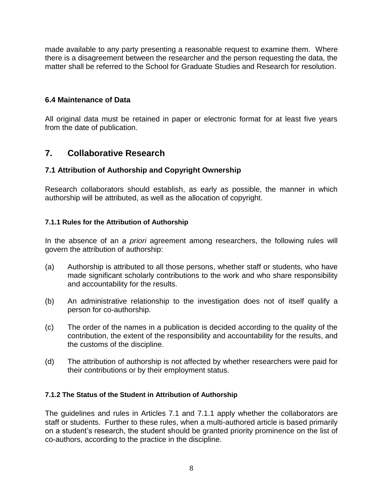made available to any party presenting a reasonable request to examine them. Where there is a disagreement between the researcher and the person requesting the data, the matter shall be referred to the School for Graduate Studies and Research for resolution.

### <span id="page-7-0"></span>**6.4 Maintenance of Data**

All original data must be retained in paper or electronic format for at least five years from the date of publication.

# <span id="page-7-1"></span>**7. Collaborative Research**

### <span id="page-7-2"></span>**7.1 Attribution of Authorship and Copyright Ownership**

Research collaborators should establish, as early as possible, the manner in which authorship will be attributed, as well as the allocation of copyright.

### <span id="page-7-3"></span>**7.1.1 Rules for the Attribution of Authorship**

In the absence of an *a priori* agreement among researchers, the following rules will govern the attribution of authorship:

- (a) Authorship is attributed to all those persons, whether staff or students, who have made significant scholarly contributions to the work and who share responsibility and accountability for the results.
- (b) An administrative relationship to the investigation does not of itself qualify a person for co-authorship.
- (c) The order of the names in a publication is decided according to the quality of the contribution, the extent of the responsibility and accountability for the results, and the customs of the discipline.
- (d) The attribution of authorship is not affected by whether researchers were paid for their contributions or by their employment status.

### <span id="page-7-4"></span>**7.1.2 The Status of the Student in Attribution of Authorship**

The guidelines and rules in Articles 7.1 and 7.1.1 apply whether the collaborators are staff or students. Further to these rules, when a multi-authored article is based primarily on a student's research, the student should be granted priority prominence on the list of co-authors, according to the practice in the discipline.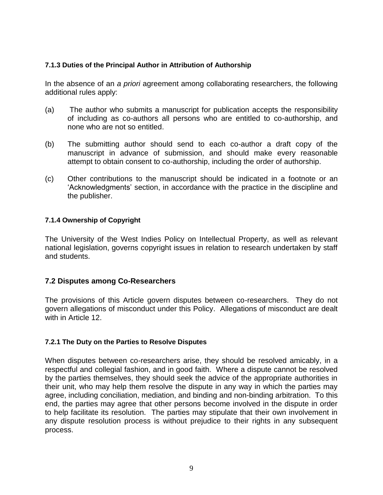### <span id="page-8-0"></span>**7.1.3 Duties of the Principal Author in Attribution of Authorship**

In the absence of an *a priori* agreement among collaborating researchers, the following additional rules apply:

- (a) The author who submits a manuscript for publication accepts the responsibility of including as co-authors all persons who are entitled to co-authorship, and none who are not so entitled.
- (b) The submitting author should send to each co-author a draft copy of the manuscript in advance of submission, and should make every reasonable attempt to obtain consent to co-authorship, including the order of authorship.
- (c) Other contributions to the manuscript should be indicated in a footnote or an 'Acknowledgments' section, in accordance with the practice in the discipline and the publisher.

### <span id="page-8-1"></span>**7.1.4 Ownership of Copyright**

The University of the West Indies Policy on Intellectual Property, as well as relevant national legislation, governs copyright issues in relation to research undertaken by staff and students.

### <span id="page-8-2"></span>**7.2 Disputes among Co-Researchers**

The provisions of this Article govern disputes between co-researchers. They do not govern allegations of misconduct under this Policy. Allegations of misconduct are dealt with in Article 12.

### <span id="page-8-3"></span>**7.2.1 The Duty on the Parties to Resolve Disputes**

When disputes between co-researchers arise, they should be resolved amicably, in a respectful and collegial fashion, and in good faith. Where a dispute cannot be resolved by the parties themselves, they should seek the advice of the appropriate authorities in their unit, who may help them resolve the dispute in any way in which the parties may agree, including conciliation, mediation, and binding and non-binding arbitration. To this end, the parties may agree that other persons become involved in the dispute in order to help facilitate its resolution. The parties may stipulate that their own involvement in any dispute resolution process is without prejudice to their rights in any subsequent process.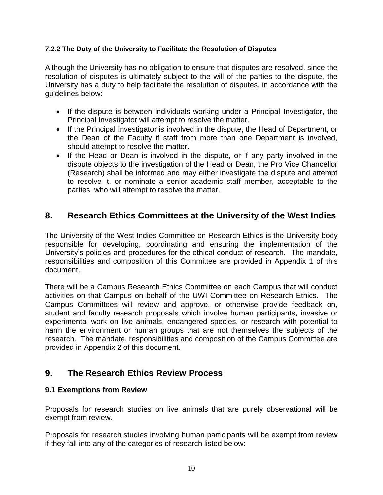### <span id="page-9-0"></span>**7.2.2 The Duty of the University to Facilitate the Resolution of Disputes**

Although the University has no obligation to ensure that disputes are resolved, since the resolution of disputes is ultimately subject to the will of the parties to the dispute, the University has a duty to help facilitate the resolution of disputes, in accordance with the guidelines below:

- If the dispute is between individuals working under a Principal Investigator, the Principal Investigator will attempt to resolve the matter.
- If the Principal Investigator is involved in the dispute, the Head of Department, or the Dean of the Faculty if staff from more than one Department is involved, should attempt to resolve the matter.
- If the Head or Dean is involved in the dispute, or if any party involved in the dispute objects to the investigation of the Head or Dean, the Pro Vice Chancellor (Research) shall be informed and may either investigate the dispute and attempt to resolve it, or nominate a senior academic staff member, acceptable to the parties, who will attempt to resolve the matter.

# <span id="page-9-1"></span>**8. Research Ethics Committees at the University of the West Indies**

The University of the West Indies Committee on Research Ethics is the University body responsible for developing, coordinating and ensuring the implementation of the University's policies and procedures for the ethical conduct of research. The mandate, responsibilities and composition of this Committee are provided in Appendix 1 of this document.

There will be a Campus Research Ethics Committee on each Campus that will conduct activities on that Campus on behalf of the UWI Committee on Research Ethics. The Campus Committees will review and approve, or otherwise provide feedback on, student and faculty research proposals which involve human participants, invasive or experimental work on live animals, endangered species, or research with potential to harm the environment or human groups that are not themselves the subjects of the research. The mandate, responsibilities and composition of the Campus Committee are provided in Appendix 2 of this document.

## <span id="page-9-2"></span>**9. The Research Ethics Review Process**

### <span id="page-9-3"></span>**9.1 Exemptions from Review**

Proposals for research studies on live animals that are purely observational will be exempt from review.

Proposals for research studies involving human participants will be exempt from review if they fall into any of the categories of research listed below: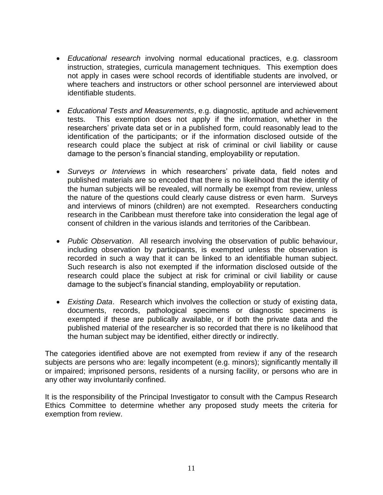- *Educational research* involving normal educational practices, e.g. classroom instruction, strategies, curricula management techniques. This exemption does not apply in cases were school records of identifiable students are involved, or where teachers and instructors or other school personnel are interviewed about identifiable students.
- *Educational Tests and Measurements*, e.g. diagnostic, aptitude and achievement tests. This exemption does not apply if the information, whether in the researchers' private data set or in a published form, could reasonably lead to the identification of the participants; or if the information disclosed outside of the research could place the subject at risk of criminal or civil liability or cause damage to the person's financial standing, employability or reputation.
- *Surveys or Interviews* in which researchers' private data, field notes and published materials are so encoded that there is no likelihood that the identity of the human subjects will be revealed, will normally be exempt from review, unless the nature of the questions could clearly cause distress or even harm. Surveys and interviews of minors (children) are not exempted. Researchers conducting research in the Caribbean must therefore take into consideration the legal age of consent of children in the various islands and territories of the Caribbean.
- *Public Observation*. All research involving the observation of public behaviour, including observation by participants, is exempted unless the observation is recorded in such a way that it can be linked to an identifiable human subject. Such research is also not exempted if the information disclosed outside of the research could place the subject at risk for criminal or civil liability or cause damage to the subject's financial standing, employability or reputation.
- *Existing Data*. Research which involves the collection or study of existing data, documents, records, pathological specimens or diagnostic specimens is exempted if these are publically available, or if both the private data and the published material of the researcher is so recorded that there is no likelihood that the human subject may be identified, either directly or indirectly.

The categories identified above are not exempted from review if any of the research subjects are persons who are: legally incompetent (e.g. minors); significantly mentally ill or impaired; imprisoned persons, residents of a nursing facility, or persons who are in any other way involuntarily confined.

It is the responsibility of the Principal Investigator to consult with the Campus Research Ethics Committee to determine whether any proposed study meets the criteria for exemption from review.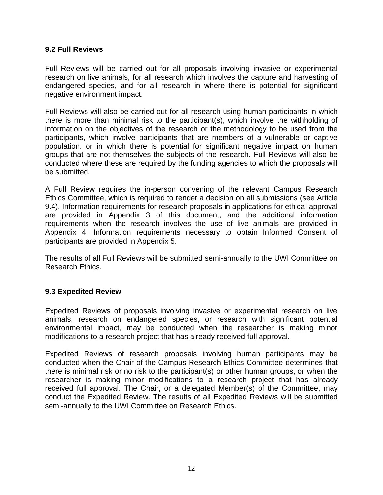### <span id="page-11-0"></span>**9.2 Full Reviews**

Full Reviews will be carried out for all proposals involving invasive or experimental research on live animals, for all research which involves the capture and harvesting of endangered species, and for all research in where there is potential for significant negative environment impact.

Full Reviews will also be carried out for all research using human participants in which there is more than minimal risk to the participant(s), which involve the withholding of information on the objectives of the research or the methodology to be used from the participants, which involve participants that are members of a vulnerable or captive population, or in which there is potential for significant negative impact on human groups that are not themselves the subjects of the research. Full Reviews will also be conducted where these are required by the funding agencies to which the proposals will be submitted.

A Full Review requires the in-person convening of the relevant Campus Research Ethics Committee, which is required to render a decision on all submissions (see Article 9.4). Information requirements for research proposals in applications for ethical approval are provided in Appendix 3 of this document, and the additional information requirements when the research involves the use of live animals are provided in Appendix 4. Information requirements necessary to obtain Informed Consent of participants are provided in Appendix 5.

The results of all Full Reviews will be submitted semi-annually to the UWI Committee on Research Ethics.

### <span id="page-11-1"></span>**9.3 Expedited Review**

Expedited Reviews of proposals involving invasive or experimental research on live animals, research on endangered species, or research with significant potential environmental impact, may be conducted when the researcher is making minor modifications to a research project that has already received full approval.

Expedited Reviews of research proposals involving human participants may be conducted when the Chair of the Campus Research Ethics Committee determines that there is minimal risk or no risk to the participant(s) or other human groups, or when the researcher is making minor modifications to a research project that has already received full approval. The Chair, or a delegated Member(s) of the Committee, may conduct the Expedited Review. The results of all Expedited Reviews will be submitted semi-annually to the UWI Committee on Research Ethics.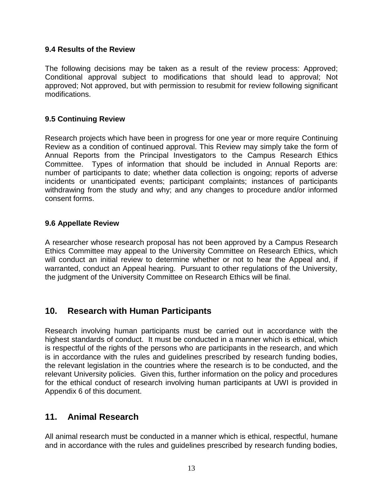### <span id="page-12-0"></span>**9.4 Results of the Review**

The following decisions may be taken as a result of the review process: Approved; Conditional approval subject to modifications that should lead to approval; Not approved; Not approved, but with permission to resubmit for review following significant modifications.

### <span id="page-12-1"></span>**9.5 Continuing Review**

Research projects which have been in progress for one year or more require Continuing Review as a condition of continued approval. This Review may simply take the form of Annual Reports from the Principal Investigators to the Campus Research Ethics Committee. Types of information that should be included in Annual Reports are: number of participants to date; whether data collection is ongoing; reports of adverse incidents or unanticipated events; participant complaints; instances of participants withdrawing from the study and why; and any changes to procedure and/or informed consent forms.

### <span id="page-12-2"></span>**9.6 Appellate Review**

A researcher whose research proposal has not been approved by a Campus Research Ethics Committee may appeal to the University Committee on Research Ethics, which will conduct an initial review to determine whether or not to hear the Appeal and, if warranted, conduct an Appeal hearing. Pursuant to other regulations of the University, the judgment of the University Committee on Research Ethics will be final.

# <span id="page-12-3"></span>**10. Research with Human Participants**

Research involving human participants must be carried out in accordance with the highest standards of conduct. It must be conducted in a manner which is ethical, which is respectful of the rights of the persons who are participants in the research, and which is in accordance with the rules and guidelines prescribed by research funding bodies, the relevant legislation in the countries where the research is to be conducted, and the relevant University policies. Given this, further information on the policy and procedures for the ethical conduct of research involving human participants at UWI is provided in Appendix 6 of this document.

## <span id="page-12-4"></span>**11. Animal Research**

All animal research must be conducted in a manner which is ethical, respectful, humane and in accordance with the rules and guidelines prescribed by research funding bodies,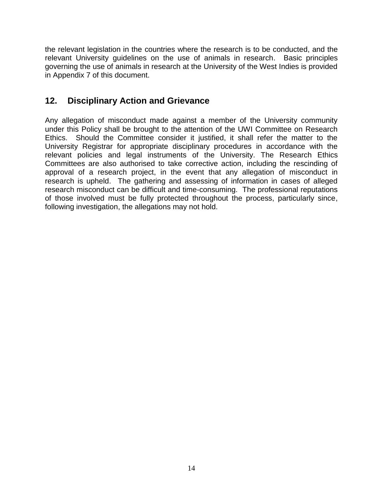the relevant legislation in the countries where the research is to be conducted, and the relevant University guidelines on the use of animals in research. Basic principles governing the use of animals in research at the University of the West Indies is provided in Appendix 7 of this document.

# <span id="page-13-0"></span>**12. Disciplinary Action and Grievance**

Any allegation of misconduct made against a member of the University community under this Policy shall be brought to the attention of the UWI Committee on Research Ethics. Should the Committee consider it justified, it shall refer the matter to the University Registrar for appropriate disciplinary procedures in accordance with the relevant policies and legal instruments of the University. The Research Ethics Committees are also authorised to take corrective action, including the rescinding of approval of a research project, in the event that any allegation of misconduct in research is upheld. The gathering and assessing of information in cases of alleged research misconduct can be difficult and time-consuming. The professional reputations of those involved must be fully protected throughout the process, particularly since, following investigation, the allegations may not hold.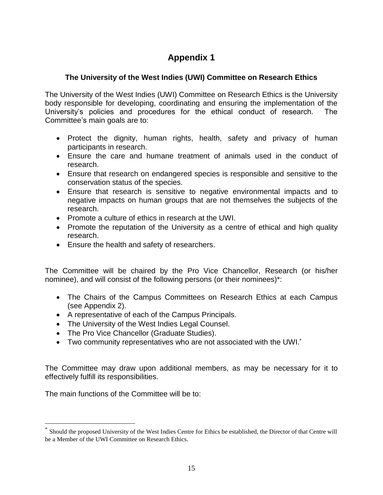## <span id="page-14-0"></span>**The University of the West Indies (UWI) Committee on Research Ethics**

The University of the West Indies (UWI) Committee on Research Ethics is the University body responsible for developing, coordinating and ensuring the implementation of the University's policies and procedures for the ethical conduct of research. The Committee's main goals are to:

- Protect the dignity, human rights, health, safety and privacy of human participants in research.
- Ensure the care and humane treatment of animals used in the conduct of research.
- Ensure that research on endangered species is responsible and sensitive to the conservation status of the species.
- Ensure that research is sensitive to negative environmental impacts and to negative impacts on human groups that are not themselves the subjects of the research.
- Promote a culture of ethics in research at the UWI.
- Promote the reputation of the University as a centre of ethical and high quality research.
- Ensure the health and safety of researchers.

The Committee will be chaired by the Pro Vice Chancellor, Research (or his/her nominee), and will consist of the following persons (or their nominees)\*:

- The Chairs of the Campus Committees on Research Ethics at each Campus (see Appendix 2).
- A representative of each of the Campus Principals.
- The University of the West Indies Legal Counsel.
- The Pro Vice Chancellor (Graduate Studies).
- Two community representatives who are not associated with the UWI.<sup>\*</sup>

The Committee may draw upon additional members, as may be necessary for it to effectively fulfill its responsibilities.

The main functions of the Committee will be to:

 $\overline{a}$ 

<sup>\*</sup> Should the proposed University of the West Indies Centre for Ethics be established, the Director of that Centre will be a Member of the UWI Committee on Research Ethics.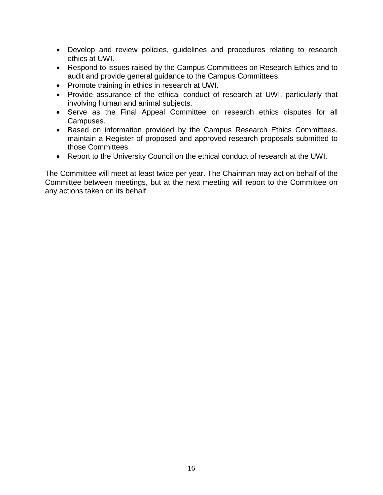- Develop and review policies, guidelines and procedures relating to research ethics at UWI.
- Respond to issues raised by the Campus Committees on Research Ethics and to audit and provide general guidance to the Campus Committees.
- Promote training in ethics in research at UWI.
- Provide assurance of the ethical conduct of research at UWI, particularly that involving human and animal subjects.
- Serve as the Final Appeal Committee on research ethics disputes for all Campuses.
- Based on information provided by the Campus Research Ethics Committees, maintain a Register of proposed and approved research proposals submitted to those Committees.
- Report to the University Council on the ethical conduct of research at the UWI.

The Committee will meet at least twice per year. The Chairman may act on behalf of the Committee between meetings, but at the next meeting will report to the Committee on any actions taken on its behalf.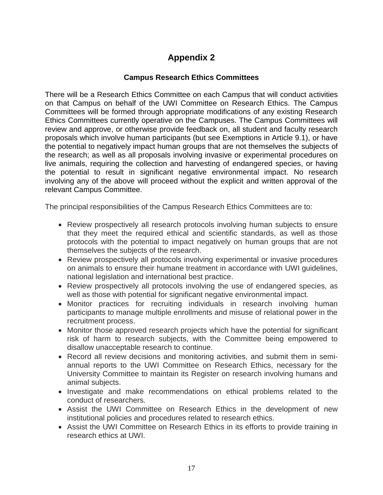### **Campus Research Ethics Committees**

<span id="page-16-0"></span>There will be a Research Ethics Committee on each Campus that will conduct activities on that Campus on behalf of the UWI Committee on Research Ethics. The Campus Committees will be formed through appropriate modifications of any existing Research Ethics Committees currently operative on the Campuses. The Campus Committees will review and approve, or otherwise provide feedback on, all student and faculty research proposals which involve human participants (but see Exemptions in Article 9.1), or have the potential to negatively impact human groups that are not themselves the subjects of the research; as well as all proposals involving invasive or experimental procedures on live animals, requiring the collection and harvesting of endangered species, or having the potential to result in significant negative environmental impact. No research involving any of the above will proceed without the explicit and written approval of the relevant Campus Committee.

The principal responsibilities of the Campus Research Ethics Committees are to:

- Review prospectively all research protocols involving human subjects to ensure that they meet the required ethical and scientific standards, as well as those protocols with the potential to impact negatively on human groups that are not themselves the subjects of the research.
- Review prospectively all protocols involving experimental or invasive procedures on animals to ensure their humane treatment in accordance with UWI guidelines, national legislation and international best practice.
- Review prospectively all protocols involving the use of endangered species, as well as those with potential for significant negative environmental impact.
- Monitor practices for recruiting individuals in research involving human participants to manage multiple enrollments and misuse of relational power in the recruitment process.
- Monitor those approved research projects which have the potential for significant risk of harm to research subjects, with the Committee being empowered to disallow unacceptable research to continue.
- Record all review decisions and monitoring activities, and submit them in semiannual reports to the UWI Committee on Research Ethics, necessary for the University Committee to maintain its Register on research involving humans and animal subjects.
- Investigate and make recommendations on ethical problems related to the conduct of researchers.
- Assist the UWI Committee on Research Ethics in the development of new institutional policies and procedures related to research ethics.
- Assist the UWI Committee on Research Ethics in its efforts to provide training in research ethics at UWI.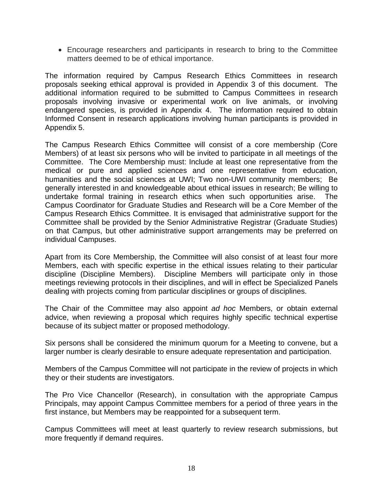Encourage researchers and participants in research to bring to the Committee matters deemed to be of ethical importance.

The information required by Campus Research Ethics Committees in research proposals seeking ethical approval is provided in Appendix 3 of this document. The additional information required to be submitted to Campus Committees in research proposals involving invasive or experimental work on live animals, or involving endangered species, is provided in Appendix 4. The information required to obtain Informed Consent in research applications involving human participants is provided in Appendix 5.

The Campus Research Ethics Committee will consist of a core membership (Core Members) of at least six persons who will be invited to participate in all meetings of the Committee. The Core Membership must: Include at least one representative from the medical or pure and applied sciences and one representative from education, humanities and the social sciences at UWI; Two non-UWI community members; Be generally interested in and knowledgeable about ethical issues in research; Be willing to undertake formal training in research ethics when such opportunities arise. The Campus Coordinator for Graduate Studies and Research will be a Core Member of the Campus Research Ethics Committee. It is envisaged that administrative support for the Committee shall be provided by the Senior Administrative Registrar (Graduate Studies) on that Campus, but other administrative support arrangements may be preferred on individual Campuses.

Apart from its Core Membership, the Committee will also consist of at least four more Members, each with specific expertise in the ethical issues relating to their particular discipline (Discipline Members). Discipline Members will participate only in those meetings reviewing protocols in their disciplines, and will in effect be Specialized Panels dealing with projects coming from particular disciplines or groups of disciplines.

The Chair of the Committee may also appoint *ad hoc* Members, or obtain external advice, when reviewing a proposal which requires highly specific technical expertise because of its subject matter or proposed methodology.

Six persons shall be considered the minimum quorum for a Meeting to convene, but a larger number is clearly desirable to ensure adequate representation and participation.

Members of the Campus Committee will not participate in the review of projects in which they or their students are investigators.

The Pro Vice Chancellor (Research), in consultation with the appropriate Campus Principals, may appoint Campus Committee members for a period of three years in the first instance, but Members may be reappointed for a subsequent term.

Campus Committees will meet at least quarterly to review research submissions, but more frequently if demand requires.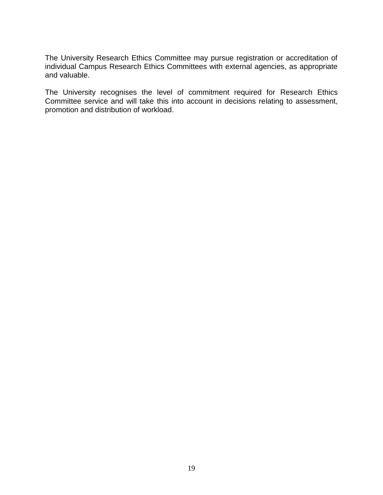The University Research Ethics Committee may pursue registration or accreditation of individual Campus Research Ethics Committees with external agencies, as appropriate and valuable.

The University recognises the level of commitment required for Research Ethics Committee service and will take this into account in decisions relating to assessment, promotion and distribution of workload.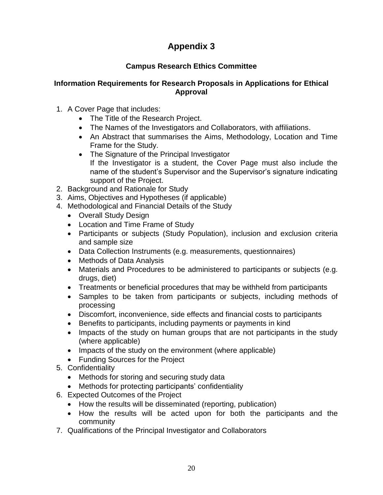## **Campus Research Ethics Committee**

### <span id="page-19-0"></span>**Information Requirements for Research Proposals in Applications for Ethical Approval**

- 1. A Cover Page that includes:
	- The Title of the Research Project.
	- The Names of the Investigators and Collaborators, with affiliations.
	- An Abstract that summarises the Aims, Methodology, Location and Time Frame for the Study.
	- The Signature of the Principal Investigator If the Investigator is a student, the Cover Page must also include the name of the student's Supervisor and the Supervisor's signature indicating support of the Project.
- 2. Background and Rationale for Study
- 3. Aims, Objectives and Hypotheses (if applicable)
- 4. Methodological and Financial Details of the Study
	- Overall Study Design
	- Location and Time Frame of Study
	- Participants or subjects (Study Population), inclusion and exclusion criteria and sample size
	- Data Collection Instruments (e.g. measurements, questionnaires)
	- Methods of Data Analysis
	- Materials and Procedures to be administered to participants or subjects (e.g. drugs, diet)
	- Treatments or beneficial procedures that may be withheld from participants
	- Samples to be taken from participants or subjects, including methods of processing
	- Discomfort, inconvenience, side effects and financial costs to participants
	- Benefits to participants, including payments or payments in kind
	- Impacts of the study on human groups that are not participants in the study (where applicable)
	- Impacts of the study on the environment (where applicable)
	- Funding Sources for the Project
- 5. Confidentiality
	- Methods for storing and securing study data
	- Methods for protecting participants' confidentiality
- 6. Expected Outcomes of the Project
	- How the results will be disseminated (reporting, publication)
	- How the results will be acted upon for both the participants and the community
- 7. Qualifications of the Principal Investigator and Collaborators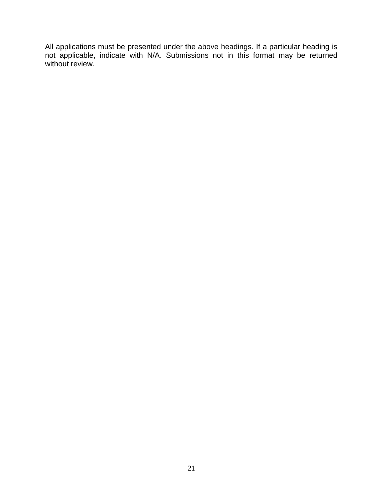All applications must be presented under the above headings. If a particular heading is not applicable, indicate with N/A. Submissions not in this format may be returned without review.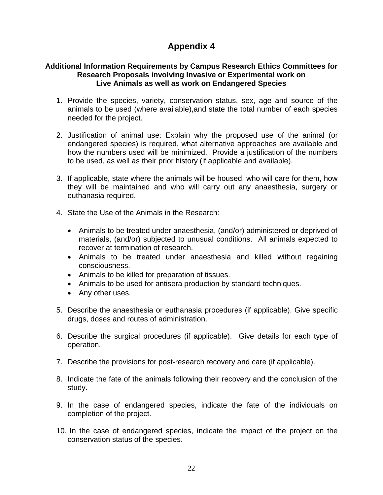#### <span id="page-21-0"></span>**Additional Information Requirements by Campus Research Ethics Committees for Research Proposals involving Invasive or Experimental work on Live Animals as well as work on Endangered Species**

- 1. Provide the species, variety, conservation status, sex, age and source of the animals to be used (where available),and state the total number of each species needed for the project.
- 2. Justification of animal use: Explain why the proposed use of the animal (or endangered species) is required, what alternative approaches are available and how the numbers used will be minimized. Provide a justification of the numbers to be used, as well as their prior history (if applicable and available).
- 3. If applicable, state where the animals will be housed, who will care for them, how they will be maintained and who will carry out any anaesthesia, surgery or euthanasia required.
- 4. State the Use of the Animals in the Research:
	- Animals to be treated under anaesthesia, (and/or) administered or deprived of materials, (and/or) subjected to unusual conditions. All animals expected to recover at termination of research.
	- Animals to be treated under anaesthesia and killed without regaining consciousness.
	- Animals to be killed for preparation of tissues.
	- Animals to be used for antisera production by standard techniques.
	- Any other uses.
- 5. Describe the anaesthesia or euthanasia procedures (if applicable). Give specific drugs, doses and routes of administration.
- 6. Describe the surgical procedures (if applicable). Give details for each type of operation.
- 7. Describe the provisions for post-research recovery and care (if applicable).
- 8. Indicate the fate of the animals following their recovery and the conclusion of the study.
- 9. In the case of endangered species, indicate the fate of the individuals on completion of the project.
- 10. In the case of endangered species, indicate the impact of the project on the conservation status of the species.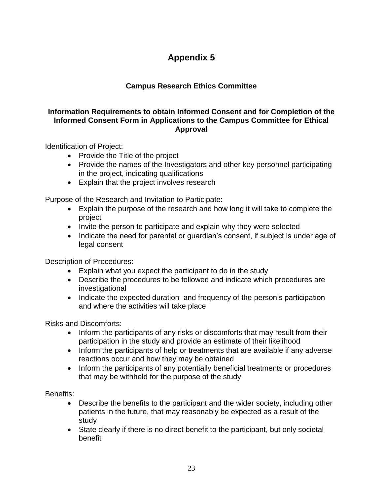## **Campus Research Ethics Committee**

### <span id="page-22-0"></span>**Information Requirements to obtain Informed Consent and for Completion of the Informed Consent Form in Applications to the Campus Committee for Ethical Approval**

Identification of Project:

- Provide the Title of the project
- Provide the names of the Investigators and other key personnel participating in the project, indicating qualifications
- Explain that the project involves research

Purpose of the Research and Invitation to Participate:

- Explain the purpose of the research and how long it will take to complete the project
- Invite the person to participate and explain why they were selected
- Indicate the need for parental or quardian's consent, if subject is under age of legal consent

Description of Procedures:

- Explain what you expect the participant to do in the study
- Describe the procedures to be followed and indicate which procedures are investigational
- Indicate the expected duration and frequency of the person's participation and where the activities will take place

Risks and Discomforts:

- Inform the participants of any risks or discomforts that may result from their participation in the study and provide an estimate of their likelihood
- Inform the participants of help or treatments that are available if any adverse reactions occur and how they may be obtained
- Inform the participants of any potentially beneficial treatments or procedures that may be withheld for the purpose of the study

Benefits:

- Describe the benefits to the participant and the wider society, including other patients in the future, that may reasonably be expected as a result of the study
- State clearly if there is no direct benefit to the participant, but only societal benefit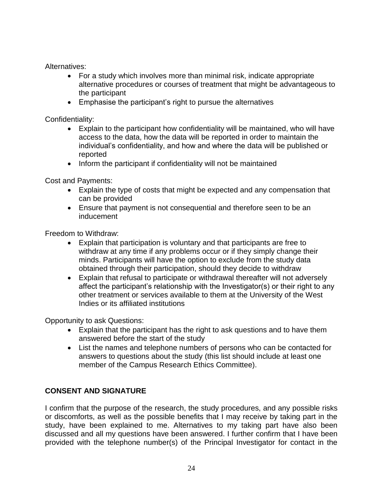Alternatives:

- For a study which involves more than minimal risk, indicate appropriate alternative procedures or courses of treatment that might be advantageous to the participant
- Emphasise the participant's right to pursue the alternatives

Confidentiality:

- Explain to the participant how confidentiality will be maintained, who will have access to the data, how the data will be reported in order to maintain the individual's confidentiality, and how and where the data will be published or reported
- Inform the participant if confidentiality will not be maintained

Cost and Payments:

- Explain the type of costs that might be expected and any compensation that can be provided
- Ensure that payment is not consequential and therefore seen to be an inducement

Freedom to Withdraw:

- Explain that participation is voluntary and that participants are free to withdraw at any time if any problems occur or if they simply change their minds. Participants will have the option to exclude from the study data obtained through their participation, should they decide to withdraw
- Explain that refusal to participate or withdrawal thereafter will not adversely affect the participant's relationship with the Investigator(s) or their right to any other treatment or services available to them at the University of the West Indies or its affiliated institutions

Opportunity to ask Questions:

- Explain that the participant has the right to ask questions and to have them answered before the start of the study
- List the names and telephone numbers of persons who can be contacted for answers to questions about the study (this list should include at least one member of the Campus Research Ethics Committee).

## **CONSENT AND SIGNATURE**

I confirm that the purpose of the research, the study procedures, and any possible risks or discomforts, as well as the possible benefits that I may receive by taking part in the study, have been explained to me. Alternatives to my taking part have also been discussed and all my questions have been answered. I further confirm that I have been provided with the telephone number(s) of the Principal Investigator for contact in the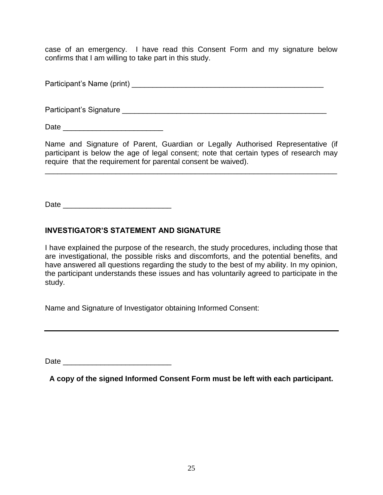case of an emergency. I have read this Consent Form and my signature below confirms that I am willing to take part in this study.

Participant's Name (print) **Example 2** and the set of the set of the set of the set of the set of the set of the set of the set of the set of the set of the set of the set of the set of the set of the set of the set of the

Participant's Signature et al. Allen the state of the state of the state of the state of the state of the state of the state of the state of the state of the state of the state of the state of the state of the state of the

Date  $\qquad \qquad \qquad \qquad \qquad \qquad \qquad$ 

Name and Signature of Parent, Guardian or Legally Authorised Representative (if participant is below the age of legal consent; note that certain types of research may require that the requirement for parental consent be waived).

\_\_\_\_\_\_\_\_\_\_\_\_\_\_\_\_\_\_\_\_\_\_\_\_\_\_\_\_\_\_\_\_\_\_\_\_\_\_\_\_\_\_\_\_\_\_\_\_\_\_\_\_\_\_\_\_\_\_\_\_\_\_\_\_\_\_\_\_\_\_

Date \_\_\_\_\_\_\_\_\_\_\_\_\_\_\_\_\_\_\_\_\_\_\_\_\_\_

### **INVESTIGATOR'S STATEMENT AND SIGNATURE**

I have explained the purpose of the research, the study procedures, including those that are investigational, the possible risks and discomforts, and the potential benefits, and have answered all questions regarding the study to the best of my ability. In my opinion, the participant understands these issues and has voluntarily agreed to participate in the study.

Name and Signature of Investigator obtaining Informed Consent:

 $Date$ 

**A copy of the signed Informed Consent Form must be left with each participant.**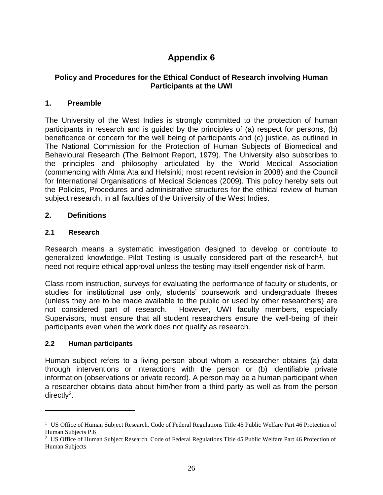### <span id="page-25-0"></span>**Policy and Procedures for the Ethical Conduct of Research involving Human Participants at the UWI**

### **1. Preamble**

The University of the West Indies is strongly committed to the protection of human participants in research and is guided by the principles of (a) respect for persons, (b) beneficence or concern for the well being of participants and (c) justice, as outlined in The National Commission for the Protection of Human Subjects of Biomedical and Behavioural Research (The Belmont Report, 1979). The University also subscribes to the principles and philosophy articulated by the World Medical Association (commencing with Alma Ata and Helsinki; most recent revision in 2008) and the Council for International Organisations of Medical Sciences (2009). This policy hereby sets out the Policies, Procedures and administrative structures for the ethical review of human subject research, in all faculties of the University of the West Indies.

### **2. Definitions**

### **2.1 Research**

Research means a systematic investigation designed to develop or contribute to generalized knowledge. Pilot Testing is usually considered part of the research<sup>1</sup>, but need not require ethical approval unless the testing may itself engender risk of harm.

Class room instruction, surveys for evaluating the performance of faculty or students, or studies for institutional use only, students' coursework and undergraduate theses (unless they are to be made available to the public or used by other researchers) are not considered part of research. However, UWI faculty members, especially Supervisors, must ensure that all student researchers ensure the well-being of their participants even when the work does not qualify as research.

### **2.2 Human participants**

 $\overline{a}$ 

Human subject refers to a living person about whom a researcher obtains (a) data through interventions or interactions with the person or (b) identifiable private information (observations or private record). A person may be a human participant when a researcher obtains data about him/her from a third party as well as from the person directly<sup>2</sup>.

<sup>&</sup>lt;sup>1</sup> US Office of Human Subject Research. Code of Federal Regulations Title 45 Public Welfare Part 46 Protection of Human Subjects P.6

<sup>&</sup>lt;sup>2</sup> US Office of Human Subject Research. Code of Federal Regulations Title 45 Public Welfare Part 46 Protection of Human Subjects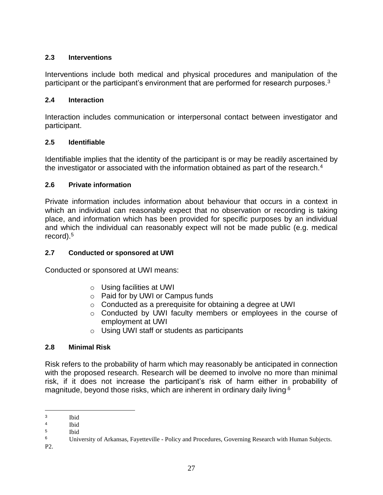### **2.3 Interventions**

Interventions include both medical and physical procedures and manipulation of the participant or the participant's environment that are performed for research purposes.<sup>3</sup>

### **2.4 Interaction**

Interaction includes communication or interpersonal contact between investigator and participant.

### **2.5 Identifiable**

Identifiable implies that the identity of the participant is or may be readily ascertained by the investigator or associated with the information obtained as part of the research.<sup>4</sup>

### **2.6 Private information**

Private information includes information about behaviour that occurs in a context in which an individual can reasonably expect that no observation or recording is taking place, and information which has been provided for specific purposes by an individual and which the individual can reasonably expect will not be made public (e.g. medical record).<sup>5</sup>

### **2.7 Conducted or sponsored at UWI**

Conducted or sponsored at UWI means:

- o Using facilities at UWI
- o Paid for by UWI or Campus funds
- o Conducted as a prerequisite for obtaining a degree at UWI
- o Conducted by UWI faculty members or employees in the course of employment at UWI
- o Using UWI staff or students as participants

### **2.8 Minimal Risk**

Risk refers to the probability of harm which may reasonably be anticipated in connection with the proposed research. Research will be deemed to involve no more than minimal risk, if it does not increase the participant's risk of harm either in probability of magnitude, beyond those risks, which are inherent in ordinary daily living.6

 $\overline{a}$ 3 Ibid

<sup>4</sup> Ibid

<sup>5</sup> Ibid

<sup>6</sup> University of Arkansas, Fayetteville - Policy and Procedures, Governing Research with Human Subjects.

P2.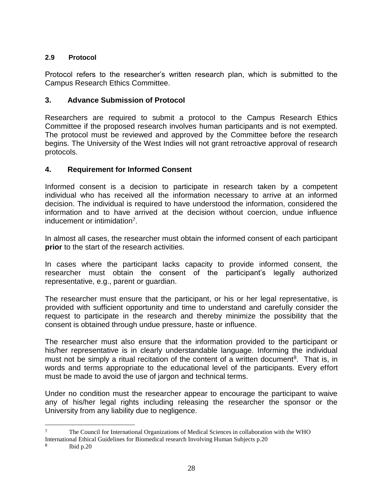### **2.9 Protocol**

Protocol refers to the researcher's written research plan, which is submitted to the Campus Research Ethics Committee.

### **3. Advance Submission of Protocol**

Researchers are required to submit a protocol to the Campus Research Ethics Committee if the proposed research involves human participants and is not exempted. The protocol must be reviewed and approved by the Committee before the research begins. The University of the West Indies will not grant retroactive approval of research protocols.

### **4. Requirement for Informed Consent**

Informed consent is a decision to participate in research taken by a competent individual who has received all the information necessary to arrive at an informed decision. The individual is required to have understood the information, considered the information and to have arrived at the decision without coercion, undue influence inducement or intimidation<sup>7</sup>.

In almost all cases, the researcher must obtain the informed consent of each participant **prior** to the start of the research activities.

In cases where the participant lacks capacity to provide informed consent, the researcher must obtain the consent of the participant's legally authorized representative, e.g., parent or guardian.

The researcher must ensure that the participant, or his or her legal representative, is provided with sufficient opportunity and time to understand and carefully consider the request to participate in the research and thereby minimize the possibility that the consent is obtained through undue pressure, haste or influence.

The researcher must also ensure that the information provided to the participant or his/her representative is in clearly understandable language. Informing the individual must not be simply a ritual recitation of the content of a written document<sup>8</sup>. That is, in words and terms appropriate to the educational level of the participants. Every effort must be made to avoid the use of jargon and technical terms.

Under no condition must the researcher appear to encourage the participant to waive any of his/her legal rights including releasing the researcher the sponsor or the University from any liability due to negligence.

 $\overline{a}$ <sup>7</sup> The Council for International Organizations of Medical Sciences in collaboration with the WHO International Ethical Guidelines for Biomedical research Involving Human Subjects p.20

<sup>8</sup> Ibid p.20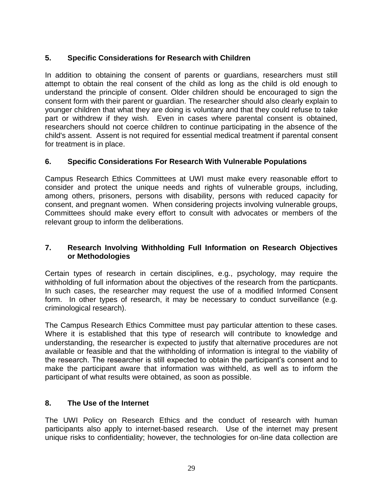### **5. Specific Considerations for Research with Children**

In addition to obtaining the consent of parents or guardians, researchers must still attempt to obtain the real consent of the child as long as the child is old enough to understand the principle of consent. Older children should be encouraged to sign the consent form with their parent or guardian. The researcher should also clearly explain to younger children that what they are doing is voluntary and that they could refuse to take part or withdrew if they wish. Even in cases where parental consent is obtained, researchers should not coerce children to continue participating in the absence of the child's assent. Assent is not required for essential medical treatment if parental consent for treatment is in place.

### **6. Specific Considerations For Research With Vulnerable Populations**

Campus Research Ethics Committees at UWI must make every reasonable effort to consider and protect the unique needs and rights of vulnerable groups, including, among others, prisoners, persons with disability, persons with reduced capacity for consent, and pregnant women. When considering projects involving vulnerable groups, Committees should make every effort to consult with advocates or members of the relevant group to inform the deliberations.

### **7. Research Involving Withholding Full Information on Research Objectives or Methodologies**

Certain types of research in certain disciplines, e.g., psychology, may require the withholding of full information about the objectives of the research from the particpants. In such cases, the researcher may request the use of a modified Informed Consent form. In other types of research, it may be necessary to conduct surveillance (e.g. criminological research).

The Campus Research Ethics Committee must pay particular attention to these cases. Where it is established that this type of research will contribute to knowledge and understanding, the researcher is expected to justify that alternative procedures are not available or feasible and that the withholding of information is integral to the viability of the research. The researcher is still expected to obtain the participant's consent and to make the participant aware that information was withheld, as well as to inform the participant of what results were obtained, as soon as possible.

### **8. The Use of the Internet**

The UWI Policy on Research Ethics and the conduct of research with human participants also apply to internet-based research. Use of the internet may present unique risks to confidentiality; however, the technologies for on-line data collection are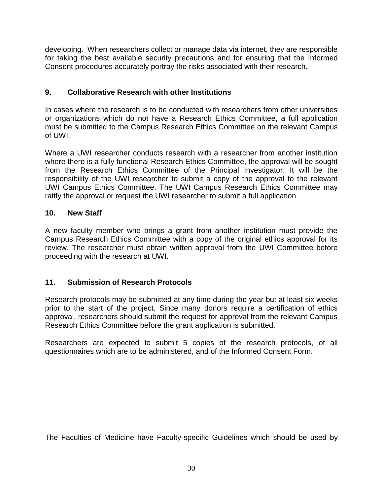developing. When researchers collect or manage data via internet, they are responsible for taking the best available security precautions and for ensuring that the Informed Consent procedures accurately portray the risks associated with their research.

## **9. Collaborative Research with other Institutions**

In cases where the research is to be conducted with researchers from other universities or organizations which do not have a Research Ethics Committee, a full application must be submitted to the Campus Research Ethics Committee on the relevant Campus of UWI.

Where a UWI researcher conducts research with a researcher from another institution where there is a fully functional Research Ethics Committee, the approval will be sought from the Research Ethics Committee of the Principal Investigator. It will be the responsibility of the UWI researcher to submit a copy of the approval to the relevant UWI Campus Ethics Committee. The UWI Campus Research Ethics Committee may ratify the approval or request the UWI researcher to submit a full application

## **10. New Staff**

A new faculty member who brings a grant from another institution must provide the Campus Research Ethics Committee with a copy of the original ethics approval for its review. The researcher must obtain written approval from the UWI Committee before proceeding with the research at UWI.

## **11. Submission of Research Protocols**

Research protocols may be submitted at any time during the year but at least six weeks prior to the start of the project. Since many donors require a certification of ethics approval, researchers should submit the request for approval from the relevant Campus Research Ethics Committee before the grant application is submitted.

Researchers are expected to submit 5 copies of the research protocols, of all questionnaires which are to be administered, and of the Informed Consent Form.

The Faculties of Medicine have Faculty-specific Guidelines which should be used by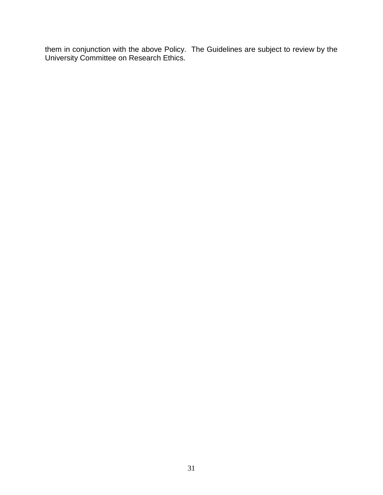them in conjunction with the above Policy. The Guidelines are subject to review by the University Committee on Research Ethics.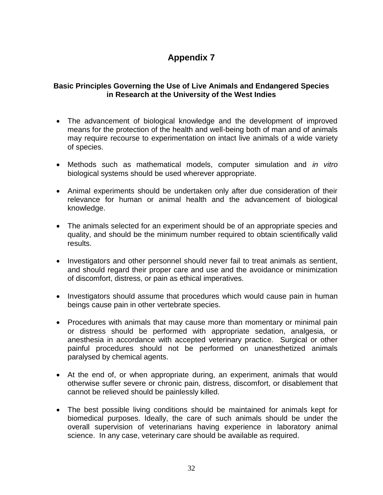### <span id="page-31-0"></span>**Basic Principles Governing the Use of Live Animals and Endangered Species in Research at the University of the West Indies**

- The advancement of biological knowledge and the development of improved means for the protection of the health and well-being both of man and of animals may require recourse to experimentation on intact live animals of a wide variety of species.
- Methods such as mathematical models, computer simulation and *in vitro* biological systems should be used wherever appropriate.
- Animal experiments should be undertaken only after due consideration of their relevance for human or animal health and the advancement of biological knowledge.
- The animals selected for an experiment should be of an appropriate species and quality, and should be the minimum number required to obtain scientifically valid results.
- Investigators and other personnel should never fail to treat animals as sentient, and should regard their proper care and use and the avoidance or minimization of discomfort, distress, or pain as ethical imperatives.
- Investigators should assume that procedures which would cause pain in human beings cause pain in other vertebrate species.
- Procedures with animals that may cause more than momentary or minimal pain or distress should be performed with appropriate sedation, analgesia, or anesthesia in accordance with accepted veterinary practice. Surgical or other painful procedures should not be performed on unanesthetized animals paralysed by chemical agents.
- At the end of, or when appropriate during, an experiment, animals that would otherwise suffer severe or chronic pain, distress, discomfort, or disablement that cannot be relieved should be painlessly killed.
- The best possible living conditions should be maintained for animals kept for biomedical purposes. Ideally, the care of such animals should be under the overall supervision of veterinarians having experience in laboratory animal science. In any case, veterinary care should be available as required.